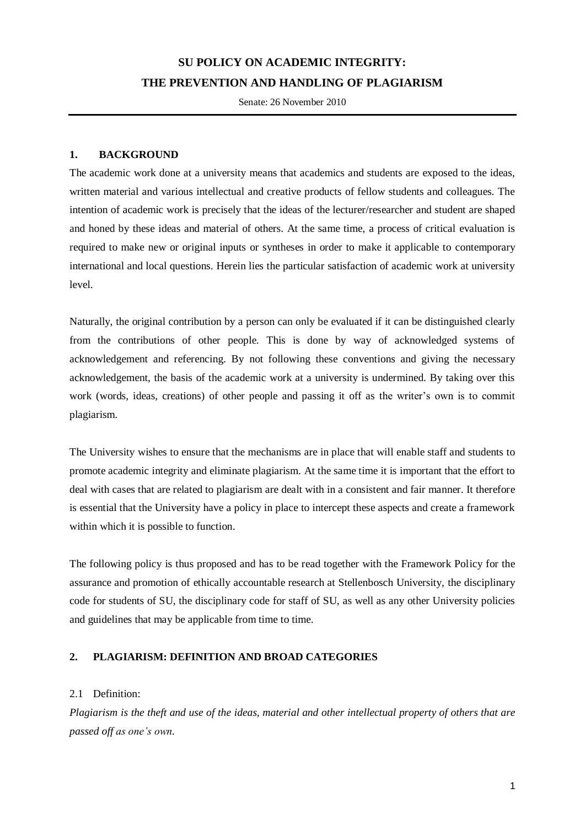## **SU POLICY ON ACADEMIC INTEGRITY: THE PREVENTION AND HANDLING OF PLAGIARISM**

Senate: 26 November 2010

#### **1. BACKGROUND**

The academic work done at a university means that academics and students are exposed to the ideas, written material and various intellectual and creative products of fellow students and colleagues. The intention of academic work is precisely that the ideas of the lecturer/researcher and student are shaped and honed by these ideas and material of others. At the same time, a process of critical evaluation is required to make new or original inputs or syntheses in order to make it applicable to contemporary international and local questions. Herein lies the particular satisfaction of academic work at university level.

Naturally, the original contribution by a person can only be evaluated if it can be distinguished clearly from the contributions of other people. This is done by way of acknowledged systems of acknowledgement and referencing. By not following these conventions and giving the necessary acknowledgement, the basis of the academic work at a university is undermined. By taking over this work (words, ideas, creations) of other people and passing it off as the writer's own is to commit plagiarism.

The University wishes to ensure that the mechanisms are in place that will enable staff and students to promote academic integrity and eliminate plagiarism. At the same time it is important that the effort to deal with cases that are related to plagiarism are dealt with in a consistent and fair manner. It therefore is essential that the University have a policy in place to intercept these aspects and create a framework within which it is possible to function.

The following policy is thus proposed and has to be read together with the Framework Policy for the assurance and promotion of ethically accountable research at Stellenbosch University, the disciplinary code for students of SU, the disciplinary code for staff of SU, as well as any other University policies and guidelines that may be applicable from time to time.

#### **2. PLAGIARISM: DEFINITION AND BROAD CATEGORIES**

#### 2.1 Definition:

*Plagiarism is the theft and use of the ideas, material and other intellectual property of others that are passed off as one's own.*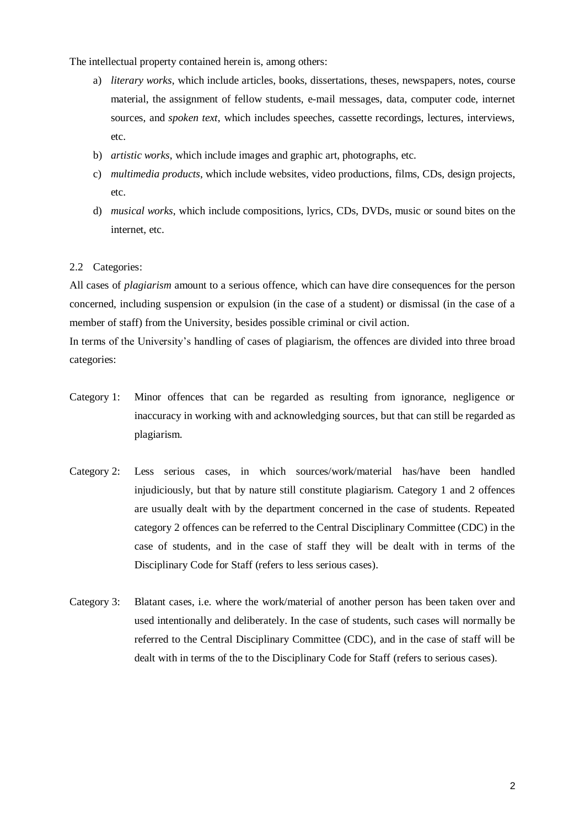The intellectual property contained herein is, among others:

- a) *literary works*, which include articles, books, dissertations, theses, newspapers, notes, course material, the assignment of fellow students, e-mail messages, data, computer code, internet sources, and *spoken text*, which includes speeches, cassette recordings, lectures, interviews, etc.
- b) *artistic works*, which include images and graphic art, photographs, etc.
- c) *multimedia products*, which include websites, video productions, films, CDs, design projects, etc.
- d) *musical works*, which include compositions, lyrics, CDs, DVDs, music or sound bites on the internet, etc.

#### 2.2 Categories:

All cases of *plagiarism* amount to a serious offence, which can have dire consequences for the person concerned, including suspension or expulsion (in the case of a student) or dismissal (in the case of a member of staff) from the University, besides possible criminal or civil action.

In terms of the University's handling of cases of plagiarism, the offences are divided into three broad categories:

- Category 1: Minor offences that can be regarded as resulting from ignorance, negligence or inaccuracy in working with and acknowledging sources, but that can still be regarded as plagiarism.
- Category 2: Less serious cases, in which sources/work/material has/have been handled injudiciously, but that by nature still constitute plagiarism. Category 1 and 2 offences are usually dealt with by the department concerned in the case of students. Repeated category 2 offences can be referred to the Central Disciplinary Committee (CDC) in the case of students, and in the case of staff they will be dealt with in terms of the Disciplinary Code for Staff (refers to less serious cases).
- Category 3: Blatant cases, i.e. where the work/material of another person has been taken over and used intentionally and deliberately. In the case of students, such cases will normally be referred to the Central Disciplinary Committee (CDC), and in the case of staff will be dealt with in terms of the to the Disciplinary Code for Staff (refers to serious cases).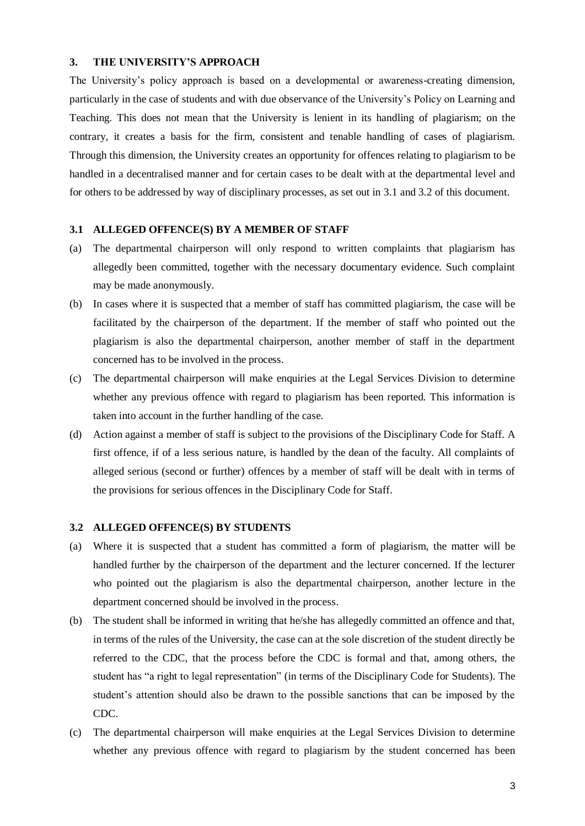#### **3. THE UNIVERSITY'S APPROACH**

The University's policy approach is based on a developmental or awareness-creating dimension, particularly in the case of students and with due observance of the University's Policy on Learning and Teaching. This does not mean that the University is lenient in its handling of plagiarism; on the contrary, it creates a basis for the firm, consistent and tenable handling of cases of plagiarism. Through this dimension, the University creates an opportunity for offences relating to plagiarism to be handled in a decentralised manner and for certain cases to be dealt with at the departmental level and for others to be addressed by way of disciplinary processes, as set out in 3.1 and 3.2 of this document.

#### **3.1 ALLEGED OFFENCE(S) BY A MEMBER OF STAFF**

- (a) The departmental chairperson will only respond to written complaints that plagiarism has allegedly been committed, together with the necessary documentary evidence. Such complaint may be made anonymously.
- (b) In cases where it is suspected that a member of staff has committed plagiarism, the case will be facilitated by the chairperson of the department. If the member of staff who pointed out the plagiarism is also the departmental chairperson, another member of staff in the department concerned has to be involved in the process.
- (c) The departmental chairperson will make enquiries at the Legal Services Division to determine whether any previous offence with regard to plagiarism has been reported. This information is taken into account in the further handling of the case.
- (d) Action against a member of staff is subject to the provisions of the Disciplinary Code for Staff. A first offence, if of a less serious nature, is handled by the dean of the faculty. All complaints of alleged serious (second or further) offences by a member of staff will be dealt with in terms of the provisions for serious offences in the Disciplinary Code for Staff.

#### **3.2 ALLEGED OFFENCE(S) BY STUDENTS**

- (a) Where it is suspected that a student has committed a form of plagiarism, the matter will be handled further by the chairperson of the department and the lecturer concerned. If the lecturer who pointed out the plagiarism is also the departmental chairperson, another lecture in the department concerned should be involved in the process.
- (b) The student shall be informed in writing that he/she has allegedly committed an offence and that, in terms of the rules of the University, the case can at the sole discretion of the student directly be referred to the CDC, that the process before the CDC is formal and that, among others, the student has "a right to legal representation" (in terms of the Disciplinary Code for Students). The student's attention should also be drawn to the possible sanctions that can be imposed by the CDC.
- (c) The departmental chairperson will make enquiries at the Legal Services Division to determine whether any previous offence with regard to plagiarism by the student concerned has been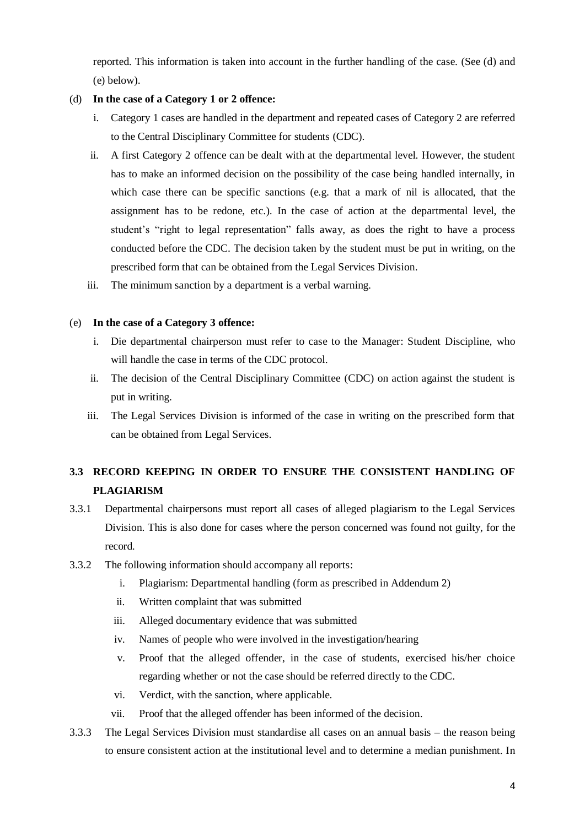reported. This information is taken into account in the further handling of the case. (See (d) and (e) below).

### (d) **In the case of a Category 1 or 2 offence:**

- i. Category 1 cases are handled in the department and repeated cases of Category 2 are referred to the Central Disciplinary Committee for students (CDC).
- ii. A first Category 2 offence can be dealt with at the departmental level. However, the student has to make an informed decision on the possibility of the case being handled internally, in which case there can be specific sanctions (e.g. that a mark of nil is allocated, that the assignment has to be redone, etc.). In the case of action at the departmental level, the student's "right to legal representation" falls away, as does the right to have a process conducted before the CDC. The decision taken by the student must be put in writing, on the prescribed form that can be obtained from the Legal Services Division.
- iii. The minimum sanction by a department is a verbal warning.

### (e) **In the case of a Category 3 offence:**

- i. Die departmental chairperson must refer to case to the Manager: Student Discipline, who will handle the case in terms of the CDC protocol.
- ii. The decision of the Central Disciplinary Committee (CDC) on action against the student is put in writing.
- iii. The Legal Services Division is informed of the case in writing on the prescribed form that can be obtained from Legal Services.

### **3.3 RECORD KEEPING IN ORDER TO ENSURE THE CONSISTENT HANDLING OF PLAGIARISM**

- 3.3.1 Departmental chairpersons must report all cases of alleged plagiarism to the Legal Services Division. This is also done for cases where the person concerned was found not guilty, for the record.
- 3.3.2 The following information should accompany all reports:
	- i. Plagiarism: Departmental handling (form as prescribed in Addendum 2)
	- ii. Written complaint that was submitted
	- iii. Alleged documentary evidence that was submitted
	- iv. Names of people who were involved in the investigation/hearing
	- v. Proof that the alleged offender, in the case of students, exercised his/her choice regarding whether or not the case should be referred directly to the CDC.
	- vi. Verdict, with the sanction, where applicable.
	- vii. Proof that the alleged offender has been informed of the decision.
- 3.3.3 The Legal Services Division must standardise all cases on an annual basis the reason being to ensure consistent action at the institutional level and to determine a median punishment. In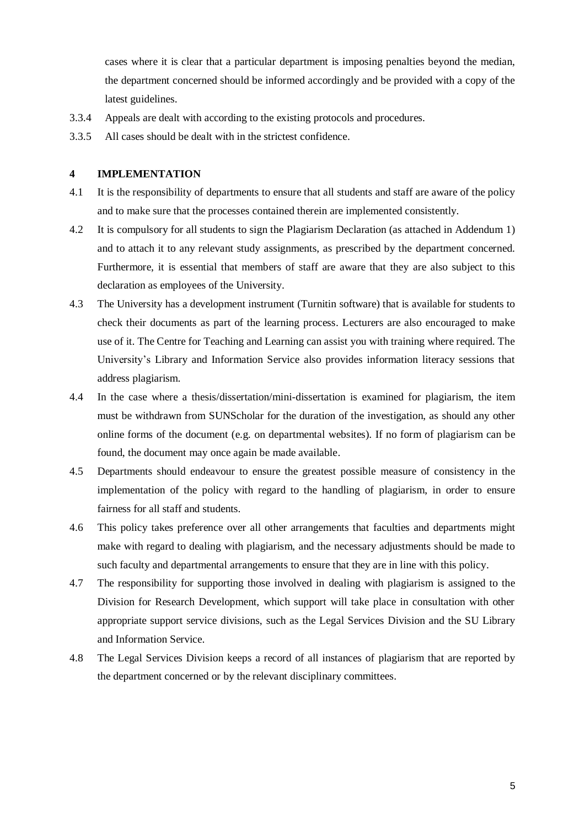cases where it is clear that a particular department is imposing penalties beyond the median, the department concerned should be informed accordingly and be provided with a copy of the latest guidelines.

- 3.3.4 Appeals are dealt with according to the existing protocols and procedures.
- 3.3.5 All cases should be dealt with in the strictest confidence.

#### **4 IMPLEMENTATION**

- 4.1 It is the responsibility of departments to ensure that all students and staff are aware of the policy and to make sure that the processes contained therein are implemented consistently.
- 4.2 It is compulsory for all students to sign the Plagiarism Declaration (as attached in Addendum 1) and to attach it to any relevant study assignments, as prescribed by the department concerned. Furthermore, it is essential that members of staff are aware that they are also subject to this declaration as employees of the University.
- 4.3 The University has a development instrument (Turnitin software) that is available for students to check their documents as part of the learning process. Lecturers are also encouraged to make use of it. The Centre for Teaching and Learning can assist you with training where required. The University's Library and Information Service also provides information literacy sessions that address plagiarism.
- 4.4 In the case where a thesis/dissertation/mini-dissertation is examined for plagiarism, the item must be withdrawn from SUNScholar for the duration of the investigation, as should any other online forms of the document (e.g. on departmental websites). If no form of plagiarism can be found, the document may once again be made available.
- 4.5 Departments should endeavour to ensure the greatest possible measure of consistency in the implementation of the policy with regard to the handling of plagiarism, in order to ensure fairness for all staff and students.
- 4.6 This policy takes preference over all other arrangements that faculties and departments might make with regard to dealing with plagiarism, and the necessary adjustments should be made to such faculty and departmental arrangements to ensure that they are in line with this policy.
- 4.7 The responsibility for supporting those involved in dealing with plagiarism is assigned to the Division for Research Development, which support will take place in consultation with other appropriate support service divisions, such as the Legal Services Division and the SU Library and Information Service.
- 4.8 The Legal Services Division keeps a record of all instances of plagiarism that are reported by the department concerned or by the relevant disciplinary committees.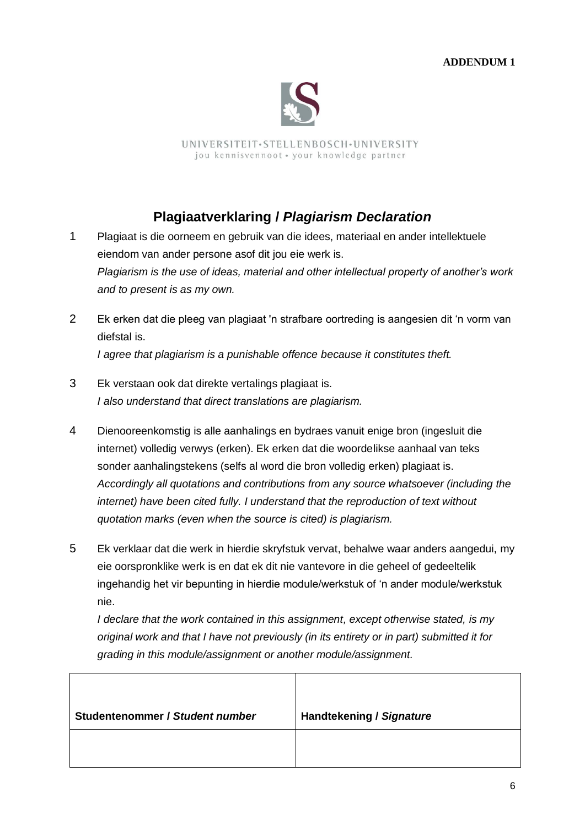

UNIVERSITEIT.STELLENBOSCH.UNIVERSITY jou kennisvennoot · your knowledge partner

# **Plagiaatverklaring /** *Plagiarism Declaration*

1 Plagiaat is die oorneem en gebruik van die idees, materiaal en ander intellektuele eiendom van ander persone asof dit jou eie werk is. *Plagiarism is the use of ideas, material and other intellectual property of another's work and to present is as my own.*

- 2 Ek erken dat die pleeg van plagiaat 'n strafbare oortreding is aangesien dit "n vorm van diefstal is. *I agree that plagiarism is a punishable offence because it constitutes theft.*
- 3 Ek verstaan ook dat direkte vertalings plagiaat is. *I also understand that direct translations are plagiarism.*
- 4 Dienooreenkomstig is alle aanhalings en bydraes vanuit enige bron (ingesluit die internet) volledig verwys (erken). Ek erken dat die woordelikse aanhaal van teks sonder aanhalingstekens (selfs al word die bron volledig erken) plagiaat is. *Accordingly all quotations and contributions from any source whatsoever (including the internet) have been cited fully. I understand that the reproduction of text without quotation marks (even when the source is cited) is plagiarism.*
- 5 Ek verklaar dat die werk in hierdie skryfstuk vervat, behalwe waar anders aangedui, my eie oorspronklike werk is en dat ek dit nie vantevore in die geheel of gedeeltelik ingehandig het vir bepunting in hierdie module/werkstuk of "n ander module/werkstuk nie.

*I declare that the work contained in this assignment, except otherwise stated, is my original work and that I have not previously (in its entirety or in part) submitted it for grading in this module/assignment or another module/assignment.*

| Studentenommer / Student number | <b>Handtekening / Signature</b> |
|---------------------------------|---------------------------------|
|                                 |                                 |
|                                 |                                 |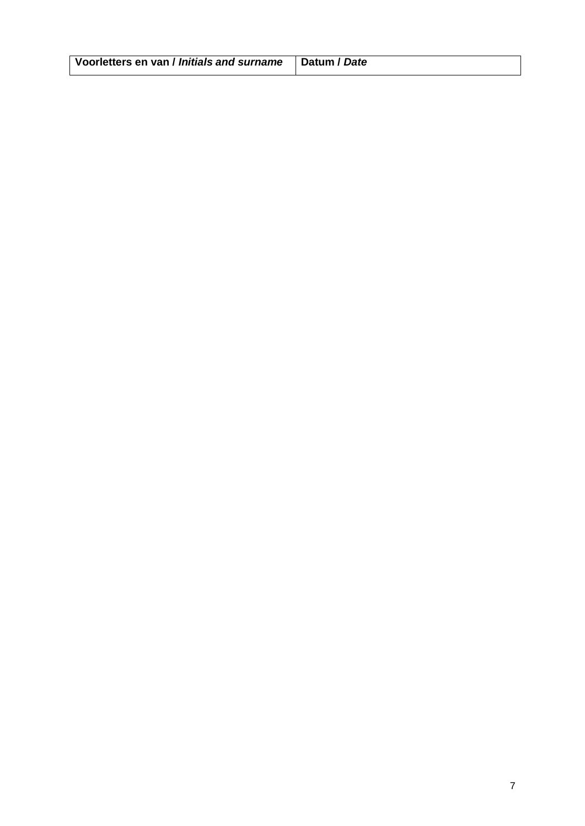| Voorletters en van / Initials and surname   Datum / Date |  |
|----------------------------------------------------------|--|
|                                                          |  |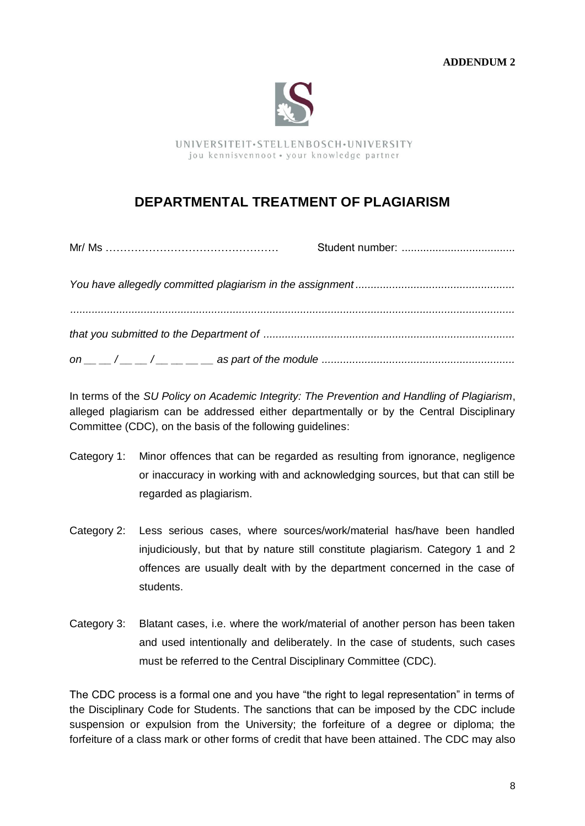

UNIVERSITEIT.STELLENBOSCH.UNIVERSITY jou kennisvennoot · your knowledge partner

## **DEPARTMENTAL TREATMENT OF PLAGIARISM**

In terms of the *SU Policy on Academic Integrity: The Prevention and Handling of Plagiarism*, alleged plagiarism can be addressed either departmentally or by the Central Disciplinary Committee (CDC), on the basis of the following guidelines:

- Category 1: Minor offences that can be regarded as resulting from ignorance, negligence or inaccuracy in working with and acknowledging sources, but that can still be regarded as plagiarism.
- Category 2: Less serious cases, where sources/work/material has/have been handled injudiciously, but that by nature still constitute plagiarism. Category 1 and 2 offences are usually dealt with by the department concerned in the case of students.
- Category 3: Blatant cases, i.e. where the work/material of another person has been taken and used intentionally and deliberately. In the case of students, such cases must be referred to the Central Disciplinary Committee (CDC).

The CDC process is a formal one and you have "the right to legal representation" in terms of the Disciplinary Code for Students. The sanctions that can be imposed by the CDC include suspension or expulsion from the University; the forfeiture of a degree or diploma; the forfeiture of a class mark or other forms of credit that have been attained. The CDC may also